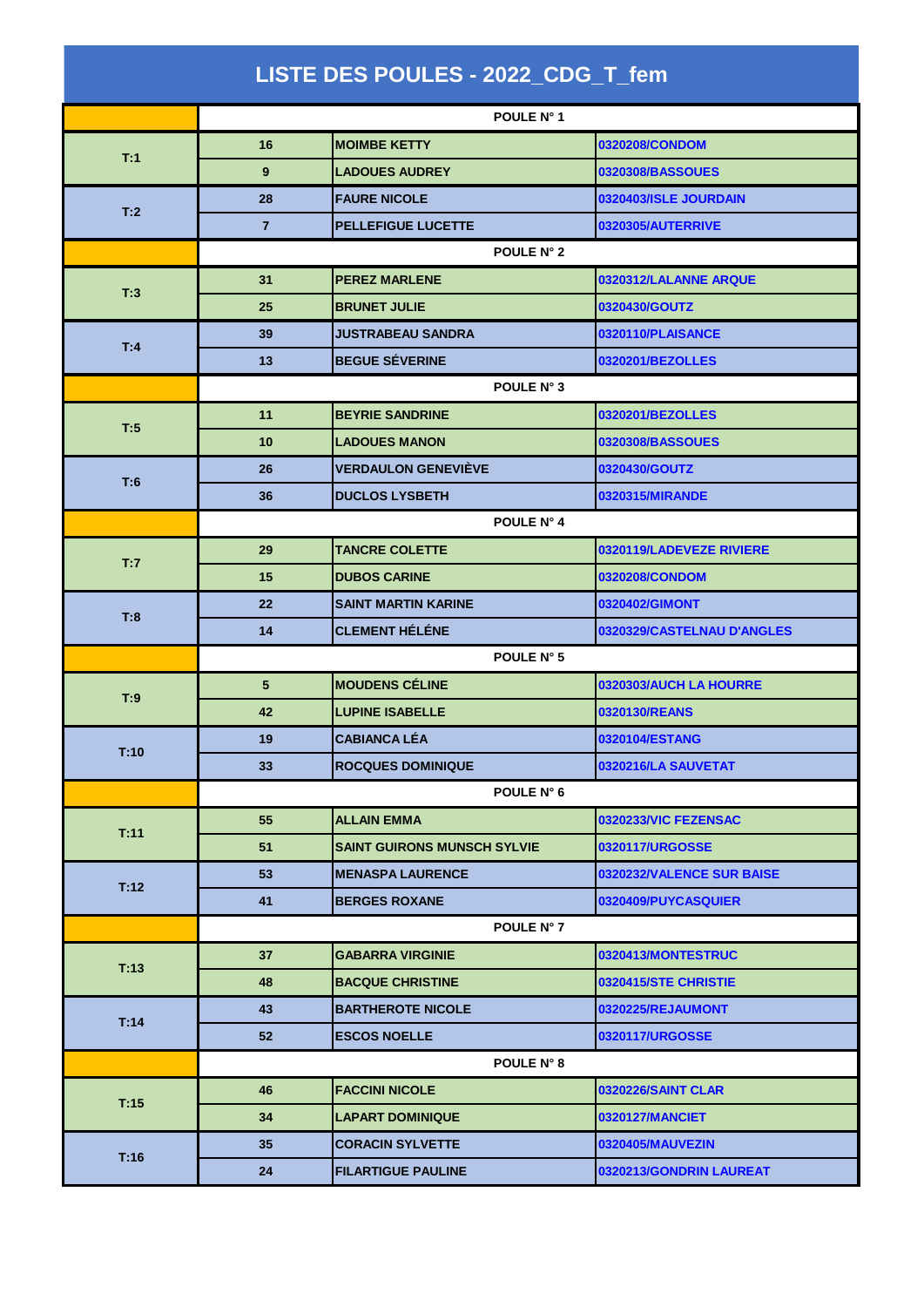| LISTE DES POULES - 2022_CDG_T_fem |                 |                                    |                            |  |  |
|-----------------------------------|-----------------|------------------------------------|----------------------------|--|--|
|                                   |                 | POULE N° 1                         |                            |  |  |
| T:1                               | 16              | <b>MOIMBE KETTY</b>                | 0320208/CONDOM             |  |  |
|                                   | 9               | <b>LADOUES AUDREY</b>              | 0320308/BASSOUES           |  |  |
| T:2                               | 28              | <b>FAURE NICOLE</b>                | 0320403/ISLE JOURDAIN      |  |  |
|                                   | $\overline{7}$  | <b>PELLEFIGUE LUCETTE</b>          | 0320305/AUTERRIVE          |  |  |
|                                   | POULE N° 2      |                                    |                            |  |  |
| T:3                               | 31              | <b>PEREZ MARLENE</b>               | 0320312/LALANNE ARQUE      |  |  |
|                                   | 25              | <b>BRUNET JULIE</b>                | 0320430/GOUTZ              |  |  |
|                                   | 39              | <b>JUSTRABEAU SANDRA</b>           | 0320110/PLAISANCE          |  |  |
| T:4                               | 13              | <b>BEGUE SÉVERINE</b>              | 0320201/BEZOLLES           |  |  |
|                                   | POULE N° 3      |                                    |                            |  |  |
| T:5                               | 11              | <b>BEYRIE SANDRINE</b>             | 0320201/BEZOLLES           |  |  |
|                                   | 10              | <b>LADOUES MANON</b>               | 0320308/BASSOUES           |  |  |
| T:6                               | 26              | <b>VERDAULON GENEVIÈVE</b>         | 0320430/GOUTZ              |  |  |
|                                   | 36              | <b>DUCLOS LYSBETH</b>              | 0320315/MIRANDE            |  |  |
|                                   | POULE N° 4      |                                    |                            |  |  |
|                                   | 29              | <b>TANCRE COLETTE</b>              | 0320119/LADEVEZE RIVIERE   |  |  |
| T:7                               | 15              | <b>DUBOS CARINE</b>                | 0320208/CONDOM             |  |  |
| T:8                               | 22              | <b>SAINT MARTIN KARINE</b>         | 0320402/GIMONT             |  |  |
|                                   | 14              | <b>CLEMENT HÉLÉNE</b>              | 0320329/CASTELNAU D'ANGLES |  |  |
|                                   | POULE N° 5      |                                    |                            |  |  |
| T:9                               | 5               | <b>MOUDENS CÉLINE</b>              | 0320303/AUCH LA HOURRE     |  |  |
|                                   | 42              | <b>LUPINE ISABELLE</b>             | 0320130/REANS              |  |  |
| T:10                              | 19              | <b>CABIANCA LÉA</b>                | 0320104/ESTANG             |  |  |
|                                   | 33              | <b>ROCQUES DOMINIQUE</b>           | 0320216/LA SAUVETAT        |  |  |
|                                   | POULE N° 6      |                                    |                            |  |  |
| T:11                              | 55              | <b>ALLAIN EMMA</b>                 | 0320233/VIC FEZENSAC       |  |  |
|                                   | 51              | <b>SAINT GUIRONS MUNSCH SYLVIE</b> | 0320117/URGOSSE            |  |  |
| T:12                              | 53              | <b>MENASPA LAURENCE</b>            | 0320232/VALENCE SUR BAISE  |  |  |
|                                   | 41              | <b>BERGES ROXANE</b>               | 0320409/PUYCASQUIER        |  |  |
|                                   | POULE N° 7      |                                    |                            |  |  |
| T:13                              | 37              | <b>GABARRA VIRGINIE</b>            | 0320413/MONTESTRUC         |  |  |
|                                   | 48              | <b>BACQUE CHRISTINE</b>            | 0320415/STE CHRISTIE       |  |  |
| T:14                              | 43              | <b>BARTHEROTE NICOLE</b>           | 0320225/REJAUMONT          |  |  |
|                                   | 52 <sub>2</sub> | <b>ESCOS NOELLE</b>                | 0320117/URGOSSE            |  |  |
|                                   | POULE N° 8      |                                    |                            |  |  |
| T:15                              | 46              | <b>FACCINI NICOLE</b>              | <b>0320226/SAINT CLAR</b>  |  |  |
|                                   | 34              | <b>LAPART DOMINIQUE</b>            | 0320127/MANCIET            |  |  |
| T:16                              | 35              | <b>CORACIN SYLVETTE</b>            | 0320405/MAUVEZIN           |  |  |
|                                   | 24              | <b>FILARTIGUE PAULINE</b>          | 0320213/GONDRIN LAUREAT    |  |  |